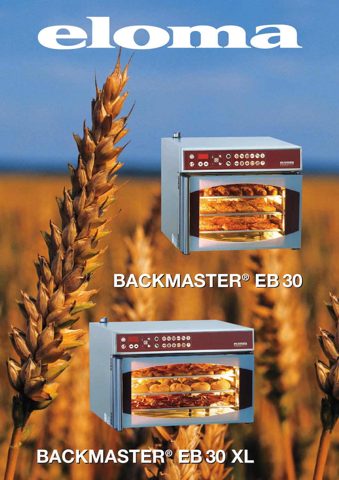# eloma

瓜



# **BACKMASTER® BACKMASTER EB 30 ® EB 30**



 $\bullet$  00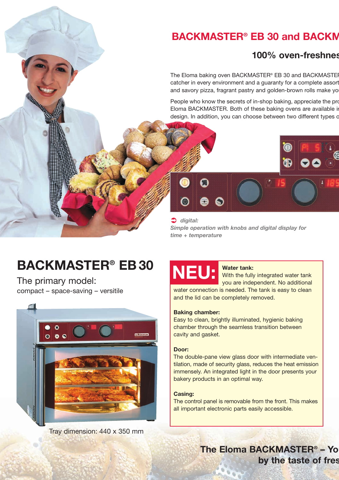## **BACKMASTER® EB 30 and BACKM**

#### **100% oven-freshnes**

The Eloma baking oven BACKMASTER® EB 30 and BACKMASTER catcher in every environment and a guaranty for a complete assort and savory pizza, fragrant pastry and golden-brown rolls make yo

People who know the secrets of in-shop baking, appreciate the pro Eloma BACKMASTER. Both of these baking ovens are available in design. In addition, you can choose between two different types o



 *digital: Simple operation with knobs and digital display for time + temperature*

# **BACKMASTER® EB 30**

The primary model: compact – space-saving – versitile



Tray dimension: 440 x 350 mm



#### **Water tank:**

With the fully integrated water tank you are independent. No additional water connection is needed. The tank is easy to clean

and the lid can be completely removed.

#### **Baking chamber:**

Easy to clean, brightly illuminated, hygienic baking chamber through the seamless transition between cavity and gasket.

#### **Door:**

The double-pane view glass door with intermediate ventilation, made of security glass, reduces the heat emission immensely. An integrated light in the door presents your bakery products in an optimal way.

#### **Casing:**

The control panel is removable from the front. This makes all important electronic parts easily accessible.

> **The Eloma BACKMASTER<sup>®</sup> - Yo by the taste of fres**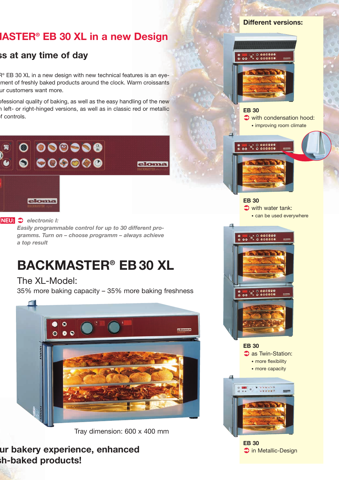### **MASTER® EB 30 XL in a new Design**

#### **ss at any time of day**

R<sup>®</sup> EB 30 XL in a new design with new technical features is an eyement of freshly baked products around the clock. Warm croissants ur customers want more.

ofessional quality of baking, as well as the easy handling of the new left- or right-hinged versions, as well as in classic red or metallic of controls.



#### *electronic I:* **NEU:**

*Easily programmable control for up to 30 different programms. Turn on – choose programm – always achieve a top result*

# **BACKMASTER® EB 30 XL**

#### The XL-Model:

35% more baking capacity – 35% more baking freshness

eloma



Tray dimension: 600 x 400 mm

#### **ur bakery experience, enhanced sh-baked products!**

#### **Different versions:**



#### **EB 30**

with condensation hood: • improving room climate



#### **EB 30** with water tank: • can be used everywhere



**EB 30 3** as Twin-Station: • more flexibility

• more capacity



**EB 30**  $\Box$  in Metallic-Design